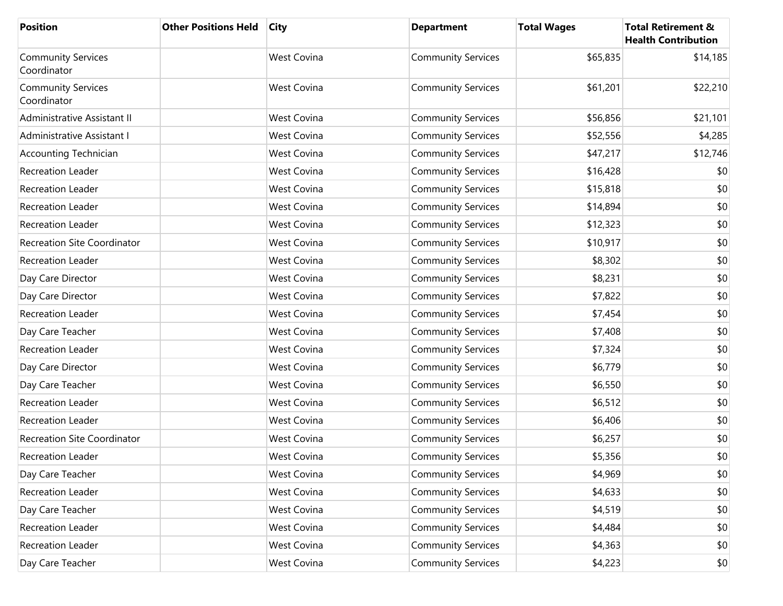| <b>Position</b>                          | <b>Other Positions Held</b> | <b>City</b>        | <b>Department</b>         | <b>Total Wages</b> | <b>Total Retirement &amp;</b><br><b>Health Contribution</b> |
|------------------------------------------|-----------------------------|--------------------|---------------------------|--------------------|-------------------------------------------------------------|
| <b>Community Services</b><br>Coordinator |                             | <b>West Covina</b> | <b>Community Services</b> | \$65,835           | \$14,185                                                    |
| <b>Community Services</b><br>Coordinator |                             | <b>West Covina</b> | <b>Community Services</b> | \$61,201           | \$22,210                                                    |
| Administrative Assistant II              |                             | <b>West Covina</b> | <b>Community Services</b> | \$56,856           | \$21,101                                                    |
| Administrative Assistant I               |                             | West Covina        | <b>Community Services</b> | \$52,556           | \$4,285                                                     |
| Accounting Technician                    |                             | West Covina        | <b>Community Services</b> | \$47,217           | \$12,746                                                    |
| <b>Recreation Leader</b>                 |                             | West Covina        | <b>Community Services</b> | \$16,428           | \$0                                                         |
| <b>Recreation Leader</b>                 |                             | West Covina        | <b>Community Services</b> | \$15,818           | \$0                                                         |
| <b>Recreation Leader</b>                 |                             | West Covina        | <b>Community Services</b> | \$14,894           | \$0                                                         |
| <b>Recreation Leader</b>                 |                             | West Covina        | <b>Community Services</b> | \$12,323           | \$0                                                         |
| <b>Recreation Site Coordinator</b>       |                             | West Covina        | <b>Community Services</b> | \$10,917           | \$0                                                         |
| <b>Recreation Leader</b>                 |                             | <b>West Covina</b> | <b>Community Services</b> | \$8,302            | \$0                                                         |
| Day Care Director                        |                             | West Covina        | <b>Community Services</b> | \$8,231            | \$0                                                         |
| Day Care Director                        |                             | West Covina        | <b>Community Services</b> | \$7,822            | \$0                                                         |
| <b>Recreation Leader</b>                 |                             | West Covina        | <b>Community Services</b> | \$7,454            | \$0                                                         |
| Day Care Teacher                         |                             | West Covina        | <b>Community Services</b> | \$7,408            | \$0                                                         |
| <b>Recreation Leader</b>                 |                             | West Covina        | <b>Community Services</b> | \$7,324            | \$0                                                         |
| Day Care Director                        |                             | West Covina        | <b>Community Services</b> | \$6,779            | \$0                                                         |
| Day Care Teacher                         |                             | West Covina        | <b>Community Services</b> | \$6,550            | \$0                                                         |
| <b>Recreation Leader</b>                 |                             | West Covina        | <b>Community Services</b> | \$6,512            | \$0                                                         |
| <b>Recreation Leader</b>                 |                             | West Covina        | <b>Community Services</b> | \$6,406            | \$0                                                         |
| <b>Recreation Site Coordinator</b>       |                             | <b>West Covina</b> | <b>Community Services</b> | \$6,257            | \$0                                                         |
| Recreation Leader                        |                             | <b>West Covina</b> | <b>Community Services</b> | \$5,356            | \$0                                                         |
| Day Care Teacher                         |                             | West Covina        | <b>Community Services</b> | \$4,969            | \$0                                                         |
| Recreation Leader                        |                             | West Covina        | <b>Community Services</b> | \$4,633            | \$0                                                         |
| Day Care Teacher                         |                             | West Covina        | <b>Community Services</b> | \$4,519            | \$0                                                         |
| Recreation Leader                        |                             | West Covina        | <b>Community Services</b> | \$4,484            | \$0                                                         |
| Recreation Leader                        |                             | West Covina        | <b>Community Services</b> | \$4,363            | \$0                                                         |
| Day Care Teacher                         |                             | West Covina        | <b>Community Services</b> | \$4,223            | \$0                                                         |